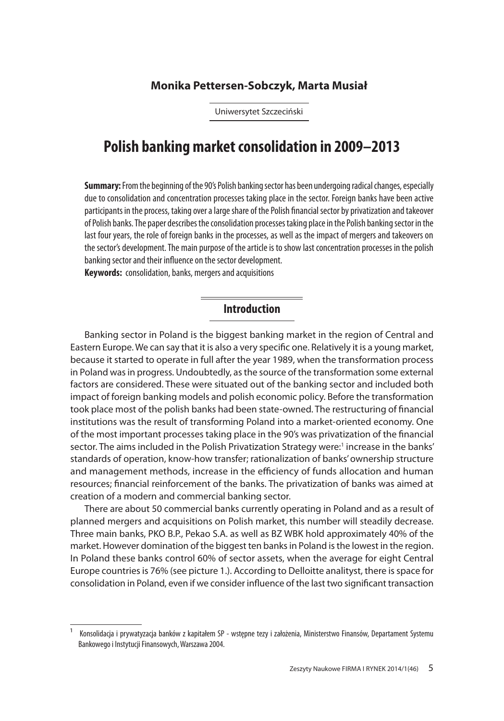## **Monika Pettersen-Sobczyk, Marta Musiał**

Uniwersytet Szczeciński

# **Polish banking market consolidation in 2009–2013**

**Summary:** From the beginning of the 90's Polish banking sector has been undergoing radical changes, especially due to consolidation and concentration processes taking place in the sector. Foreign banks have been active participants in the process, taking over a large share of the Polish financial sector by privatization and takeover of Polish banks. The paper describes the consolidation processes taking place in the Polish banking sector in the last four years, the role of foreign banks in the processes, as well as the impact of mergers and takeovers on the sector's development. The main purpose of the article is to show last concentration processes in the polish banking sector and their influence on the sector development.

**Keywords:** consolidation, banks, mergers and acquisitions

## **Introduction**

Banking sector in Poland is the biggest banking market in the region of Central and Eastern Europe. We can say that it is also a very specific one. Relatively it is a young market, because it started to operate in full after the year 1989, when the transformation process in Poland was in progress. Undoubtedly, as the source of the transformation some external factors are considered. These were situated out of the banking sector and included both impact of foreign banking models and polish economic policy. Before the transformation took place most of the polish banks had been state-owned. The restructuring of financial institutions was the result of transforming Poland into a market-oriented economy. One of the most important processes taking place in the 90's was privatization of the financial sector. The aims included in the Polish Privatization Strategy were:<sup>1</sup> increase in the banks' standards of operation, know-how transfer; rationalization of banks' ownership structure and management methods, increase in the efficiency of funds allocation and human resources; financial reinforcement of the banks. The privatization of banks was aimed at creation of a modern and commercial banking sector.

There are about 50 commercial banks currently operating in Poland and as a result of planned mergers and acquisitions on Polish market, this number will steadily decrease. Three main banks, PKO B.P., Pekao S.A. as well as BZ WBK hold approximately 40% of the market. However domination of the biggest ten banks in Poland is the lowest in the region. in Poland these banks control 60% of sector assets, when the average for eight Central Europe countries is 76% (see picture 1.). According to Delloitte analityst, there is space for consolidation in Poland, even if we consider influence of the last two significant transaction

<sup>1</sup> Konsolidacja i prywatyzacja banków z kapitałem SP - wstępne tezy i założenia, Ministerstwo Finansów, Departament Systemu Bankowego i Instytucji Finansowych, Warszawa 2004.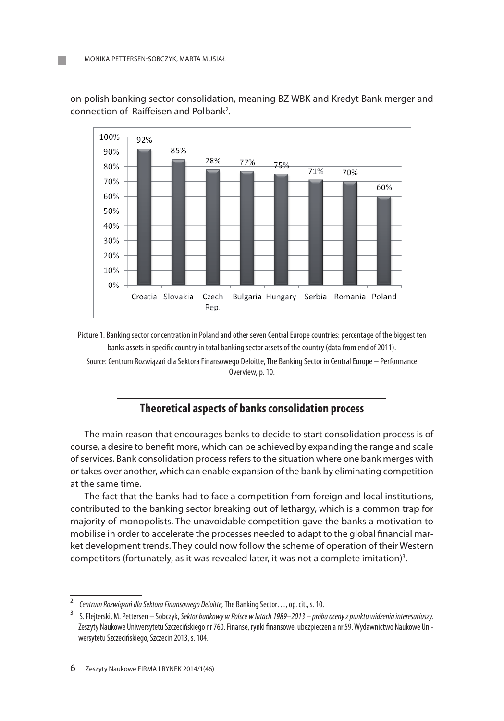

on polish banking sector consolidation, meaning BZ WBk and kredyt Bank merger and connection of Raiffeisen and Polbank<sup>2</sup>.

Picture 1. Banking sector concentration in Poland and other seven Central Europe countries: percentage of the biggest ten banks assets in specific country in total banking sector assets of the country (data from end of 2011). Source: Centrum Rozwiązań dla Sektora Finansowego Deloitte, The Banking Sector in Central Europe – Performance Overview, p. 10.

# **Theoretical aspects of banks consolidation process**

The main reason that encourages banks to decide to start consolidation process is of course, a desire to benefit more, which can be achieved by expanding the range and scale of services. Bank consolidation process refers to the situation where one bank merges with or takes over another, which can enable expansion of the bank by eliminating competition at the same time.

The fact that the banks had to face a competition from foreign and local institutions, contributed to the banking sector breaking out of lethargy, which is a common trap for majority of monopolists. The unavoidable competition gave the banks a motivation to mobilise in order to accelerate the processes needed to adapt to the global financial market development trends. They could now follow the scheme of operation of their Western competitors (fortunately, as it was revealed later, it was not a complete imitation)<sup>3</sup>.

<sup>2</sup> *Centrum Rozwiązań dla Sektora Finansowego Deloitte,* The Banking Sector…, op. cit., s. 10.

<sup>3</sup> S. Flejterski, M. Pettersen – Sobczyk, *Sektor bankowy w Polsce w latach 1989–2013 – próba oceny z punktu widzenia interesariuszy.*  Zeszyty Naukowe Uniwersytetu Szczecińskiego nr 760. Finanse, rynki finansowe, ubezpieczenia nr 59. Wydawnictwo Naukowe Uniwersytetu Szczecińskiego, Szczecin 2013, s. 104.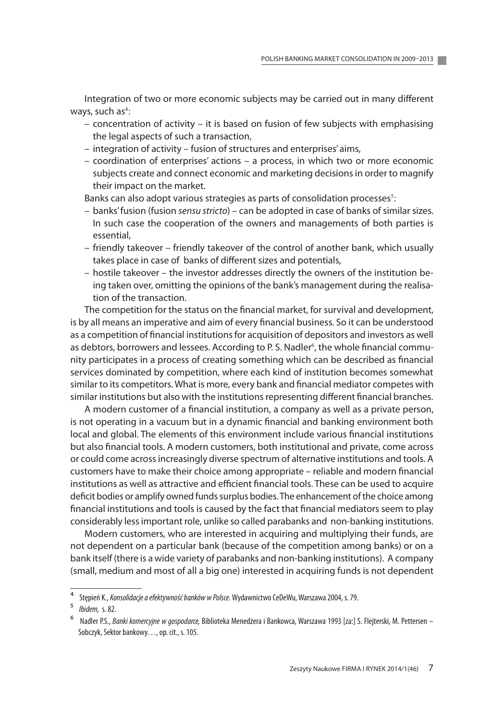integration of two or more economic subjects may be carried out in many different ways, such as<sup>4</sup>:

- concentration of activity it is based on fusion of few subjects with emphasising the legal aspects of such a transaction,
- integration of activity fusion of structures and enterprises' aims,
- coordination of enterprises' actions a process, in which two or more economic subjects create and connect economic and marketing decisions in order to magnify their impact on the market.

Banks can also adopt various strategies as parts of consolidation processes<sup>5</sup>:

- banks' fusion (fusion *sensu stricto*) can be adopted in case of banks of similar sizes. in such case the cooperation of the owners and managements of both parties is essential,
- friendly takeover friendly takeover of the control of another bank, which usually takes place in case of banks of different sizes and potentials,
- hostile takeover the investor addresses directly the owners of the institution being taken over, omitting the opinions of the bank's management during the realisation of the transaction.

The competition for the status on the financial market, for survival and development, is by all means an imperative and aim of every financial business. So it can be understood as a competition of financial institutions for acquisition of depositors and investors as well as debtors, borrowers and lessees. According to P. S. Nadler<sup>6</sup>, the whole financial community participates in a process of creating something which can be described as financial services dominated by competition, where each kind of institution becomes somewhat similar to its competitors. What is more, every bank and financial mediator competes with similar institutions but also with the institutions representing different financial branches.

a modern customer of a financial institution, a company as well as a private person, is not operating in a vacuum but in a dynamic financial and banking environment both local and global. The elements of this environment include various financial institutions but also financial tools. A modern customers, both institutional and private, come across or could come across increasingly diverse spectrum of alternative institutions and tools. a customers have to make their choice among appropriate – reliable and modern financial institutions as well as attractive and efficient financial tools. These can be used to acquire deficit bodies or amplify owned funds surplus bodies. The enhancement of the choice among financial institutions and tools is caused by the fact that financial mediators seem to play considerably less important role, unlike so called parabanks and non-banking institutions.

modern customers, who are interested in acquiring and multiplying their funds, are not dependent on a particular bank (because of the competition among banks) or on a bank itself (there is a wide variety of parabanks and non-banking institutions). A company (small, medium and most of all a big one) interested in acquiring funds is not dependent

<sup>4</sup> Stępień K., *Konsolidacje a efektywność banków w Polsce.* Wydawnictwo CeDeWu, Warszawa 2004, s. 79.

<sup>5</sup> *Ibidem,* s. 82.

<sup>6</sup> Nadler P.S., *Banki komercyjne w gospodarce,* Biblioteka Menedżera i Bankowca, Warszawa 1993 [za:] S. Flejterski, M. Pettersen – Sobczyk, Sektor bankowy…, op. cit., s. 105.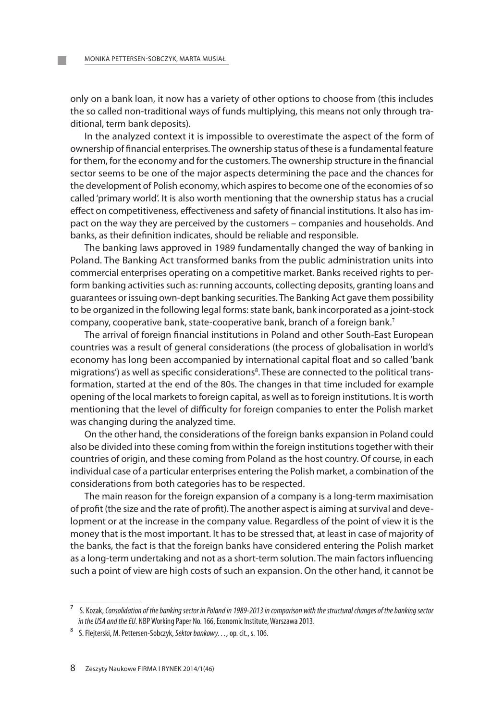only on a bank loan, it now has a variety of other options to choose from (this includes the so called non-traditional ways of funds multiplying, this means not only through traditional, term bank deposits).

in the analyzed context it is impossible to overestimate the aspect of the form of ownership of financial enterprises. The ownership status of these is a fundamental feature for them, for the economy and for the customers. The ownership structure in the financial sector seems to be one of the major aspects determining the pace and the chances for the development of Polish economy, which aspires to become one of the economies of so called 'primary world'. it is also worth mentioning that the ownership status has a crucial effect on competitiveness, effectiveness and safety of financial institutions. it also has impact on the way they are perceived by the customers – companies and households. And banks, as their definition indicates, should be reliable and responsible.

The banking laws approved in 1989 fundamentally changed the way of banking in Poland. The Banking Act transformed banks from the public administration units into commercial enterprises operating on a competitive market. Banks received rights to perform banking activities such as: running accounts, collecting deposits, granting loans and guarantees or issuing own-dept banking securities. The Banking act gave them possibility to be organized in the following legal forms: state bank, bank incorporated as a joint-stock company, cooperative bank, state-cooperative bank, branch of a foreign bank.<sup>7</sup>

The arrival of foreign financial institutions in Poland and other South-east european countries was a result of general considerations (the process of globalisation in world's economy has long been accompanied by international capital float and so called 'bank migrations') as well as specific considerations<sup>8</sup>. These are connected to the political transformation, started at the end of the 80s. The changes in that time included for example opening of the local markets to foreign capital, as well as to foreign institutions. it is worth mentioning that the level of difficulty for foreign companies to enter the Polish market was changing during the analyzed time.

On the other hand, the considerations of the foreign banks expansion in Poland could also be divided into these coming from within the foreign institutions together with their countries of origin, and these coming from Poland as the host country. Of course, in each individual case of a particular enterprises entering the Polish market, a combination of the considerations from both categories has to be respected.

The main reason for the foreign expansion of a company is a long-term maximisation of profit (the size and the rate of profit). The another aspect is aiming at survival and development or at the increase in the company value. Regardless of the point of view it is the money that is the most important. it has to be stressed that, at least in case of majority of the banks, the fact is that the foreign banks have considered entering the Polish market as a long-term undertaking and not as a short-term solution. The main factors influencing such a point of view are high costs of such an expansion. On the other hand, it cannot be

<sup>7</sup> S. Kozak, *Consolidation of the banking sector in Poland in 1989-2013 in comparison with the structural changes of the banking sector in the USA and the EU.* NBP Working Paper No. 166, Economic Institute, Warszawa 2013.

<sup>8</sup> S. Flejterski, M. Pettersen-Sobczyk, *Sektor bankowy…,* op. cit., s. 106.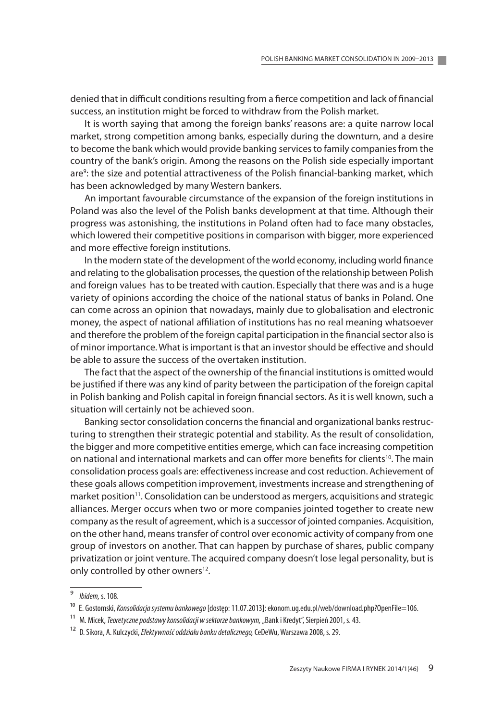denied that in difficult conditions resulting from a fierce competition and lack of financial success, an institution might be forced to withdraw from the Polish market.

It is worth saying that among the foreign banks' reasons are: a quite narrow local market, strong competition among banks, especially during the downturn, and a desire to become the bank which would provide banking services to family companies from the country of the bank's origin. Among the reasons on the Polish side especially important are<sup>9</sup>: the size and potential attractiveness of the Polish financial-banking market, which has been acknowledged by many Western bankers.

an important favourable circumstance of the expansion of the foreign institutions in Poland was also the level of the Polish banks development at that time. although their progress was astonishing, the institutions in Poland often had to face many obstacles, which lowered their competitive positions in comparison with bigger, more experienced and more effective foreign institutions.

in the modern state of the development of the world economy, including world finance and relating to the globalisation processes, the question of the relationship between Polish and foreign values has to be treated with caution. Especially that there was and is a huge variety of opinions according the choice of the national status of banks in Poland. One can come across an opinion that nowadays, mainly due to globalisation and electronic money, the aspect of national affiliation of institutions has no real meaning whatsoever and therefore the problem of the foreign capital participation in the financial sector also is of minor importance. What is important is that an investor should be effective and should be able to assure the success of the overtaken institution.

The fact that the aspect of the ownership of the financial institutions is omitted would be justified if there was any kind of parity between the participation of the foreign capital in Polish banking and Polish capital in foreign financial sectors. as it is well known, such a situation will certainly not be achieved soon.

Banking sector consolidation concerns the financial and organizational banks restructuring to strengthen their strategic potential and stability. as the result of consolidation, the bigger and more competitive entities emerge, which can face increasing competition on national and international markets and can offer more benefits for clients<sup>10</sup>. The main consolidation process goals are: effectiveness increase and cost reduction. achievement of these goals allows competition improvement, investments increase and strengthening of market position<sup>11</sup>. Consolidation can be understood as mergers, acquisitions and strategic alliances. merger occurs when two or more companies jointed together to create new company as the result of agreement, which is a successor of jointed companies. Acquisition, on the other hand, means transfer of control over economic activity of company from one group of investors on another. That can happen by purchase of shares, public company privatization or joint venture. The acquired company doesn't lose legal personality, but is only controlled by other owners<sup>12</sup>.

<sup>9</sup> *Ibidem,* s. 108.

<sup>10</sup> E. Gostomski, *Konsolidacja systemu bankowego* [dostęp: 11.07.2013]: ekonom.ug.edu.pl/web/download.php?OpenFile=106.

<sup>&</sup>lt;sup>11</sup> M. Micek, *Teoretyczne podstawy konsolidacji w sektorze bankowym, "*Bank i Kredyt", Sierpień 2001, s. 43.

<sup>12</sup> D. Sikora, A. Kulczycki, *Efektywność oddziału banku detalicznego,* CeDeWu, Warszawa 2008, s. 29.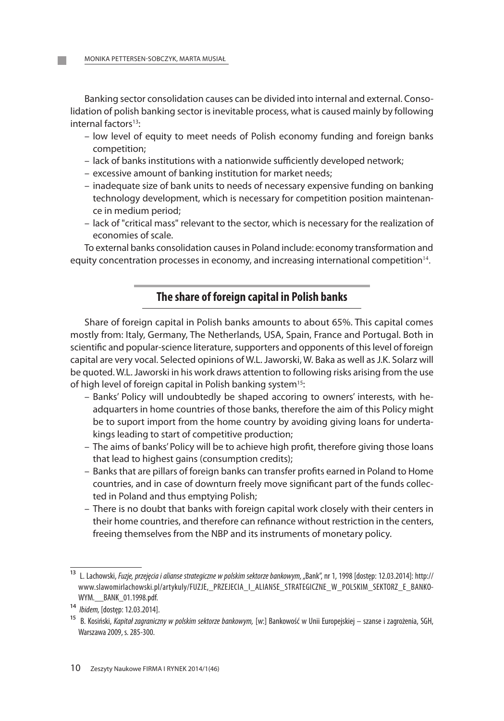Banking sector consolidation causes can be divided into internal and external. Consolidation of polish banking sector is inevitable process, what is caused mainly by following internal factors<sup>13</sup>:

- low level of equity to meet needs of Polish economy funding and foreign banks competition;
- lack of banks institutions with a nationwide sufficiently developed network;
- excessive amount of banking institution for market needs;
- inadequate size of bank units to needs of necessary expensive funding on banking technology development, which is necessary for competition position maintenance in medium period;
- lack of "critical mass" relevant to the sector, which is necessary for the realization of economies of scale.

To external banks consolidation causes in Poland include: economy transformation and equity concentration processes in economy, and increasing international competition $14$ .

# **The share of foreign capital in Polish banks**

Share of foreign capital in Polish banks amounts to about 65%. This capital comes mostly from: italy, germany, The Netherlands, USa, Spain, France and Portugal. Both in scientific and popular-science literature, supporters and opponents of this level of foreign capital are very vocal. Selected opinions of W.l. Jaworski, W. Baka as well as J.k. Solarz will be quoted. W.l. Jaworski in his work draws attention to following risks arising from the use of high level of foreign capital in Polish banking system<sup>15</sup>:

- Banks' Policy will undoubtedly be shaped accoring to owners' interests, with headquarters in home countries of those banks, therefore the aim of this Policy might be to suport import from the home country by avoiding giving loans for undertakings leading to start of competitive production;
- The aims of banks' Policy will be to achieve high profit, therefore giving those loans that lead to highest gains (consumption credits);
- Banks that are pillars of foreign banks can transfer profits earned in Poland to Home countries, and in case of downturn freely move significant part of the funds collected in Poland and thus emptying Polish;
- There is no doubt that banks with foreign capital work closely with their centers in their home countries, and therefore can refinance without restriction in the centers, freeing themselves from the NBP and its instruments of monetary policy.

<sup>&</sup>lt;sup>13</sup> L. Lachowski, *Fuzje, przejęcia i alianse strategiczne w polskim sektorze bankowym, "Bank", nr 1, 1998 [dostęp: 12.03.2014]: http://* www.slawomirlachowski.pl/artykuly/FUZJE,\_PRZEJECIA\_I\_ALIANSE\_STRATEGICZNE\_W\_POLSKIM\_SEKTORZ\_E\_BANKO-WYM. BANK 01.1998.pdf.

<sup>14</sup> *Ibidem,* [dostęp: 12.03.2014].

<sup>15</sup> B. Kosiński, *Kapitał zagraniczny w polskim sektorze bankowym,* [w:] Bankowość w Unii Europejskiej – szanse i zagrożenia, SGH, Warszawa 2009, s. 285-300.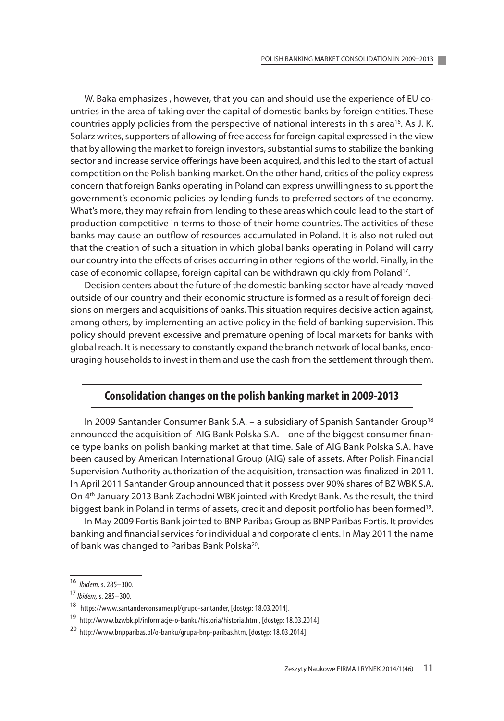W. Baka emphasizes, however, that you can and should use the experience of EU countries in the area of taking over the capital of domestic banks by foreign entities. These countries apply policies from the perspective of national interests in this area<sup>16</sup>. As J. K. Solarz writes, supporters of allowing of free access for foreign capital expressed in the view that by allowing the market to foreign investors, substantial sums to stabilize the banking sector and increase service offerings have been acquired, and this led to the start of actual competition on the Polish banking market. On the other hand, critics of the policy express concern that foreign Banks operating in Poland can express unwillingness to support the government's economic policies by lending funds to preferred sectors of the economy. What's more, they may refrain from lending to these areas which could lead to the start of production competitive in terms to those of their home countries. The activities of these banks may cause an outflow of resources accumulated in Poland. it is also not ruled out that the creation of such a situation in which global banks operating in Poland will carry our country into the effects of crises occurring in other regions of the world. Finally, in the case of economic collapse, foreign capital can be withdrawn quickly from Poland<sup>17</sup>.

Decision centers about the future of the domestic banking sector have already moved outside of our country and their economic structure is formed as a result of foreign decisions on mergers and acquisitions of banks. This situation requires decisive action against, among others, by implementing an active policy in the field of banking supervision. This policy should prevent excessive and premature opening of local markets for banks with global reach. it is necessary to constantly expand the branch network of local banks, encouraging households to invest in them and use the cash from the settlement through them.

#### **Consolidation changes on the polish banking market in 2009-2013**

In 2009 Santander Consumer Bank S.A. – a subsidiary of Spanish Santander Group<sup>18</sup> announced the acquisition of AIG Bank Polska S.A. – one of the biggest consumer finance type banks on polish banking market at that time. Sale of AIG Bank Polska S.A. have been caused by American International Group (AIG) sale of assets. After Polish Financial Supervision authority authorization of the acquisition, transaction was finalized in 2011. In April 2011 Santander Group announced that it possess over 90% shares of BZ WBK S.A. On 4<sup>th</sup> January 2013 Bank Zachodni WBK jointed with Kredyt Bank. As the result, the third biggest bank in Poland in terms of assets, credit and deposit portfolio has been formed<sup>19</sup>.

in may 2009 Fortis Bank jointed to BNP Paribas group as BNP Paribas Fortis. it provides banking and financial services for individual and corporate clients. in may 2011 the name of bank was changed to Paribas Bank Polska<sup>20</sup>.

<sup>16</sup> *Ibidem,* s. 285–300.

<sup>17</sup> *Ibidem,* s. 285–300.

<sup>18</sup> https://www.santanderconsumer.pl/grupo-santander, [dostęp: 18.03.2014].

<sup>19</sup> http://www.bzwbk.pl/informacje-o-banku/historia/historia.html, [dostęp: 18.03.2014].

<sup>20</sup> http://www.bnpparibas.pl/o-banku/grupa-bnp-paribas.htm, [dostęp: 18.03.2014].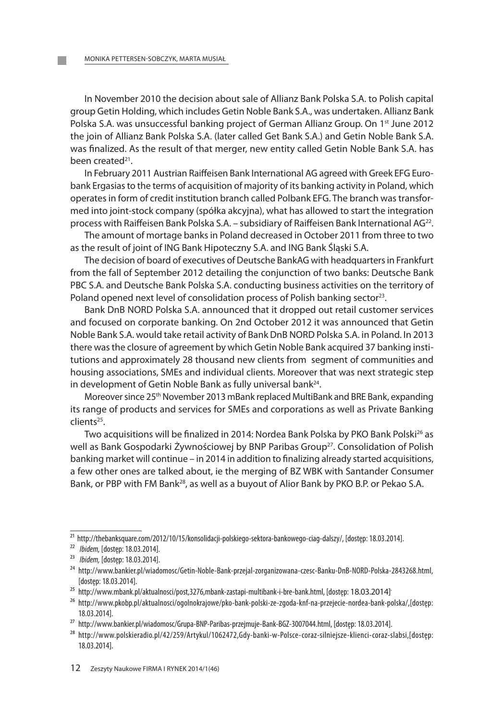In November 2010 the decision about sale of Allianz Bank Polska S.A. to Polish capital group Getin Holding, which includes Getin Noble Bank S.A., was undertaken. Allianz Bank Polska S.A. was unsuccessful banking project of German Allianz Group. On 1<sup>st</sup> June 2012 the join of Allianz Bank Polska S.A. (later called Get Bank S.A.) and Getin Noble Bank S.A. was finalized. As the result of that merger, new entity called Getin Noble Bank S.A. has been created<sup>21</sup>.

In February 2011 Austrian Raiffeisen Bank International AG agreed with Greek EFG Eurobank ergasias to the terms of acquisition of majority of its banking activity in Poland, which operates in form of credit institution branch called Polbank eFg. The branch was transformed into joint-stock company (spółka akcyjna), what has allowed to start the integration process with Raiffeisen Bank Polska S.A. – subsidiary of Raiffeisen Bank International  $AG^{22}$ .

The amount of mortage banks in Poland decreased in October 2011 from three to two as the result of joint of ING Bank Hipoteczny S.A. and ING Bank Śląski S.A.

The decision of board of executives of Deutsche Bankag with headquarters in Frankfurt from the fall of September 2012 detailing the conjunction of two banks: Deutsche Bank PBC S.A. and Deutsche Bank Polska S.A. conducting business activities on the territory of Poland opened next level of consolidation process of Polish banking sector<sup>23</sup>.

Bank DnB NORD Polska S.A. announced that it dropped out retail customer services and focused on corporate banking. On 2nd October 2012 it was announced that getin Noble Bank S.a. would take retail activity of Bank DnB NOrD Polska S.a. in Poland. in 2013 there was the closure of agreement by which getin Noble Bank acquired 37 banking institutions and approximately 28 thousand new clients from segment of communities and housing associations, SMEs and individual clients. Moreover that was next strategic step in development of Getin Noble Bank as fully universal bank<sup>24</sup>.

Moreover since 25<sup>th</sup> November 2013 mBank replaced MultiBank and BRE Bank, expanding its range of products and services for Smes and corporations as well as Private Banking clients25.

Two acquisitions will be finalized in 2014: Nordea Bank Polska by PKO Bank Polski<sup>26</sup> as well as Bank Gospodarki Żywnościowej by BNP Paribas Group<sup>27</sup>. Consolidation of Polish banking market will continue – in 2014 in addition to finalizing already started acquisitions, a few other ones are talked about, ie the merging of BZ WBk with Santander Consumer Bank, or PBP with FM Bank<sup>28</sup>, as well as a buyout of Alior Bank by PKO B.P. or Pekao S.A.

<sup>&</sup>lt;sup>21</sup> http://thebanksquare.com/2012/10/15/konsolidacji-polskiego-sektora-bankowego-ciag-dalszy/, [dostęp: 18.03.2014].

<sup>22</sup> *Ibidem,* [dostęp: 18.03.2014].

<sup>23</sup> *Ibidem,* [dostęp: 18.03.2014].

<sup>24</sup> http://www.bankier.pl/wiadomosc/Getin-Noble-Bank-przejal-zorganizowana-czesc-Banku-DnB-NORD-Polska-2843268.html, [dostęp: 18.03.2014].

<sup>&</sup>lt;sup>25</sup> http://www.mbank.pl/aktualnosci/post,3276,mbank-zastapi-multibank-i-bre-bank.html, [dostęp: 18.03.2014]<sup>.</sup>

<sup>&</sup>lt;sup>26</sup> http://www.pkobp.pl/aktualnosci/ogolnokrajowe/pko-bank-polski-ze-zgoda-knf-na-przejecie-nordea-bank-polska/,[dostęp: 18.03.2014].

<sup>27</sup> http://www.bankier.pl/wiadomosc/Grupa-BNP-Paribas-przejmuje-Bank-BGZ-3007044.html, [dostęp: 18.03.2014].

<sup>28</sup> http://www.polskieradio.pl/42/259/Artykul/1062472,Gdy-banki-w-Polsce-coraz-silniejsze-klienci-coraz-slabsi,[dostęp: 18.03.2014].